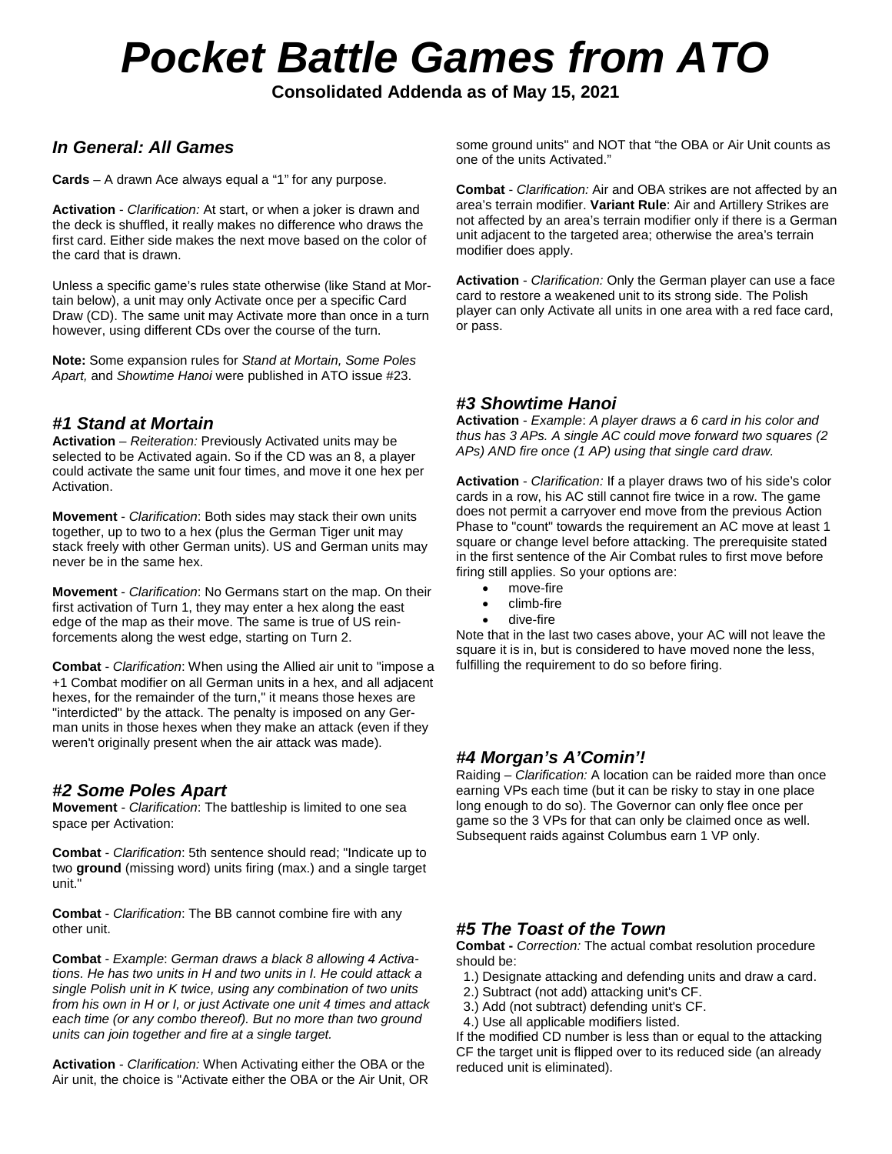# *Pocket Battle Games from ATO*

**Consolidated Addenda as of May 15, 2021**

# *In General: All Games*

**Cards** – A drawn Ace always equal a "1" for any purpose.

**Activation** - *Clarification:* At start, or when a joker is drawn and the deck is shuffled, it really makes no difference who draws the first card. Either side makes the next move based on the color of the card that is drawn.

Unless a specific game's rules state otherwise (like Stand at Mortain below), a unit may only Activate once per a specific Card Draw (CD). The same unit may Activate more than once in a turn however, using different CDs over the course of the turn.

**Note:** Some expansion rules for *Stand at Mortain, Some Poles Apart,* and *Showtime Hanoi* were published in ATO issue #23.

# *#1 Stand at Mortain*

**Activation** – *Reiteration:* Previously Activated units may be selected to be Activated again. So if the CD was an 8, a player could activate the same unit four times, and move it one hex per Activation.

**Movement** - *Clarification*: Both sides may stack their own units together, up to two to a hex (plus the German Tiger unit may stack freely with other German units). US and German units may never be in the same hex.

**Movement** - *Clarification*: No Germans start on the map. On their first activation of Turn 1, they may enter a hex along the east edge of the map as their move. The same is true of US reinforcements along the west edge, starting on Turn 2.

**Combat** - *Clarification*: When using the Allied air unit to "impose a +1 Combat modifier on all German units in a hex, and all adjacent hexes, for the remainder of the turn," it means those hexes are "interdicted" by the attack. The penalty is imposed on any German units in those hexes when they make an attack (even if they weren't originally present when the air attack was made).

## *#2 Some Poles Apart*

**Movement** - *Clarification*: The battleship is limited to one sea space per Activation:

**Combat** - *Clarification*: 5th sentence should read; "Indicate up to two **ground** (missing word) units firing (max.) and a single target unit."

**Combat** - *Clarification*: The BB cannot combine fire with any other unit.

**Combat** - *Example*: *German draws a black 8 allowing 4 Activations. He has two units in H and two units in I. He could attack a single Polish unit in K twice, using any combination of two units from his own in H or I, or just Activate one unit 4 times and attack each time (or any combo thereof). But no more than two ground units can join together and fire at a single target.*

**Activation** - *Clarification:* When Activating either the OBA or the Air unit, the choice is "Activate either the OBA or the Air Unit, OR some ground units" and NOT that "the OBA or Air Unit counts as one of the units Activated."

**Combat** - *Clarification:* Air and OBA strikes are not affected by an area's terrain modifier. **Variant Rule**: Air and Artillery Strikes are not affected by an area's terrain modifier only if there is a German unit adjacent to the targeted area; otherwise the area's terrain modifier does apply.

**Activation** - *Clarification:* Only the German player can use a face card to restore a weakened unit to its strong side. The Polish player can only Activate all units in one area with a red face card, or pass.

# *#3 Showtime Hanoi*

**Activation** - *Example*: *A player draws a 6 card in his color and thus has 3 APs. A single AC could move forward two squares (2 APs) AND fire once (1 AP) using that single card draw.*

**Activation** - *Clarification:* If a player draws two of his side's color cards in a row, his AC still cannot fire twice in a row. The game does not permit a carryover end move from the previous Action Phase to "count" towards the requirement an AC move at least 1 square or change level before attacking. The prerequisite stated in the first sentence of the Air Combat rules to first move before firing still applies. So your options are:

- move-fire
- climb-fire
- dive-fire

Note that in the last two cases above, your AC will not leave the square it is in, but is considered to have moved none the less, fulfilling the requirement to do so before firing.

## *#4 Morgan's A'Comin'!*

Raiding – *Clarification:* A location can be raided more than once earning VPs each time (but it can be risky to stay in one place long enough to do so). The Governor can only flee once per game so the 3 VPs for that can only be claimed once as well. Subsequent raids against Columbus earn 1 VP only.

# *#5 The Toast of the Town*

**Combat -** *Correction:* The actual combat resolution procedure should be:

- 1.) Designate attacking and defending units and draw a card.
- 2.) Subtract (not add) attacking unit's CF.
- 3.) Add (not subtract) defending unit's CF.
- 4.) Use all applicable modifiers listed.

If the modified CD number is less than or equal to the attacking CF the target unit is flipped over to its reduced side (an already reduced unit is eliminated).